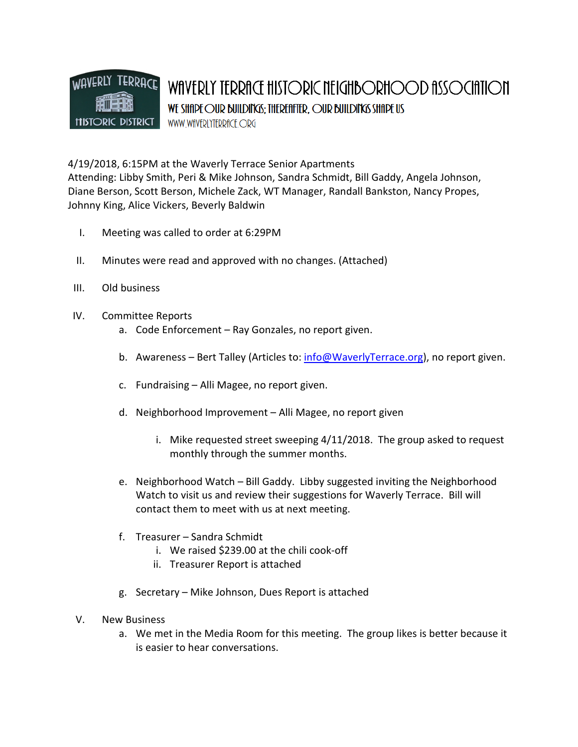

4/19/2018, 6:15PM at the Waverly Terrace Senior Apartments Attending: Libby Smith, Peri & Mike Johnson, Sandra Schmidt, Bill Gaddy, Angela Johnson, Diane Berson, Scott Berson, Michele Zack, WT Manager, Randall Bankston, Nancy Propes, Johnny King, Alice Vickers, Beverly Baldwin

- I. Meeting was called to order at 6:29PM
- II. Minutes were read and approved with no changes. (Attached)
- III. Old business
- IV. Committee Reports
	- a. Code Enforcement Ray Gonzales, no report given.
	- b. Awareness Bert Talley (Articles to: info@WaverlyTerrace.org), no report given.
	- c. Fundraising Alli Magee, no report given.
	- d. Neighborhood Improvement Alli Magee, no report given
		- i. Mike requested street sweeping 4/11/2018. The group asked to request monthly through the summer months.
	- e. Neighborhood Watch Bill Gaddy. Libby suggested inviting the Neighborhood Watch to visit us and review their suggestions for Waverly Terrace. Bill will contact them to meet with us at next meeting.
	- f. Treasurer Sandra Schmidt
		- i. We raised \$239.00 at the chili cook-off
		- ii. Treasurer Report is attached
	- g. Secretary Mike Johnson, Dues Report is attached
- V. New Business
	- a. We met in the Media Room for this meeting. The group likes is better because it is easier to hear conversations.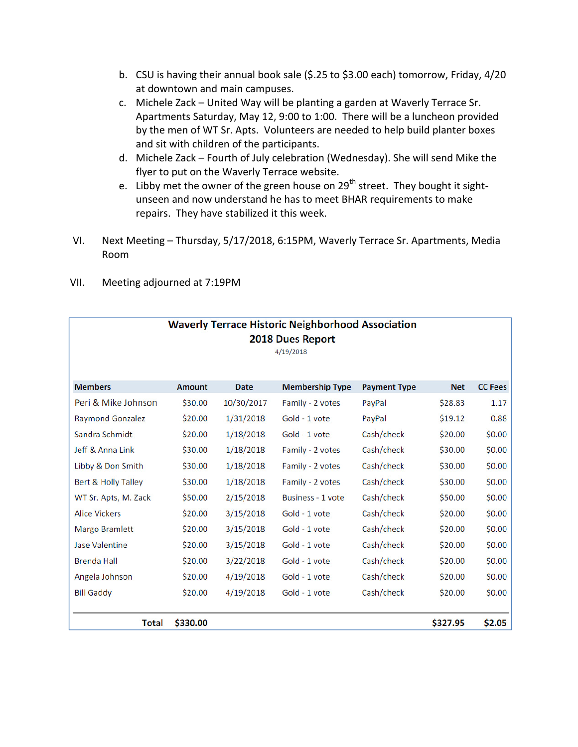- b. CSU is having their annual book sale (\$.25 to \$3.00 each) tomorrow, Friday, 4/20 at downtown and main campuses.
- c. Michele Zack United Way will be planting a garden at Waverly Terrace Sr. Apartments Saturday, May 12, 9:00 to 1:00. There will be a luncheon provided by the men of WT Sr. Apts. Volunteers are needed to help build planter boxes and sit with children of the participants.
- d. Michele Zack Fourth of July celebration (Wednesday). She will send Mike the flyer to put on the Waverly Terrace website.
- e. Libby met the owner of the green house on 29<sup>th</sup> street. They bought it sightunseen and now understand he has to meet BHAR requirements to make repairs. They have stabilized it this week.
- VI. Next Meeting Thursday, 5/17/2018, 6:15PM, Waverly Terrace Sr. Apartments, Media Room

| <b>Waverly Terrace Historic Neighborhood Association</b> |               |             |                          |                     |            |                |
|----------------------------------------------------------|---------------|-------------|--------------------------|---------------------|------------|----------------|
| 2018 Dues Report<br>4/19/2018                            |               |             |                          |                     |            |                |
|                                                          |               |             |                          |                     |            |                |
| <b>Members</b>                                           | <b>Amount</b> | <b>Date</b> | <b>Membership Type</b>   | <b>Payment Type</b> | <b>Net</b> | <b>CC Fees</b> |
| Peri & Mike Johnson                                      | \$30.00       | 10/30/2017  | Family - 2 votes         | PayPal              | \$28.83    | 1.17           |
| <b>Raymond Gonzalez</b>                                  | \$20.00       | 1/31/2018   | Gold - 1 vote            | PayPal              | \$19.12    | 0.88           |
| Sandra Schmidt                                           | \$20.00       | 1/18/2018   | Gold - 1 vote            | Cash/check          | \$20.00    | \$0.00         |
| Jeff & Anna Link                                         | \$30.00       | 1/18/2018   | Family - 2 votes         | Cash/check          | \$30.00    | \$0.00         |
| Libby & Don Smith                                        | \$30.00       | 1/18/2018   | Family - 2 votes         | Cash/check          | \$30.00    | \$0.00         |
| <b>Bert &amp; Holly Talley</b>                           | \$30.00       | 1/18/2018   | Family - 2 votes         | Cash/check          | \$30.00    | \$0.00         |
| WT Sr. Apts, M. Zack                                     | \$50.00       | 2/15/2018   | <b>Business - 1 vote</b> | Cash/check          | \$50.00    | \$0.00         |
| <b>Alice Vickers</b>                                     | \$20.00       | 3/15/2018   | Gold - 1 vote            | Cash/check          | \$20.00    | \$0.00         |
| Margo Bramlett                                           | \$20.00       | 3/15/2018   | Gold - 1 vote            | Cash/check          | \$20.00    | \$0.00         |
| <b>Jase Valentine</b>                                    | \$20.00       | 3/15/2018   | Gold - 1 vote            | Cash/check          | \$20.00    | \$0.00         |
| <b>Brenda Hall</b>                                       | \$20.00       | 3/22/2018   | Gold - 1 vote            | Cash/check          | \$20.00    | \$0.00         |
| Angela Johnson                                           | \$20.00       | 4/19/2018   | Gold - 1 vote            | Cash/check          | \$20.00    | \$0.00         |
| <b>Bill Gaddy</b>                                        | \$20.00       | 4/19/2018   | Gold - 1 vote            | Cash/check          | \$20.00    | \$0.00         |
|                                                          |               |             |                          |                     |            |                |
| <b>Total</b>                                             | \$330.00      |             |                          |                     | \$327.95   | \$2.05         |

VII. Meeting adjourned at 7:19PM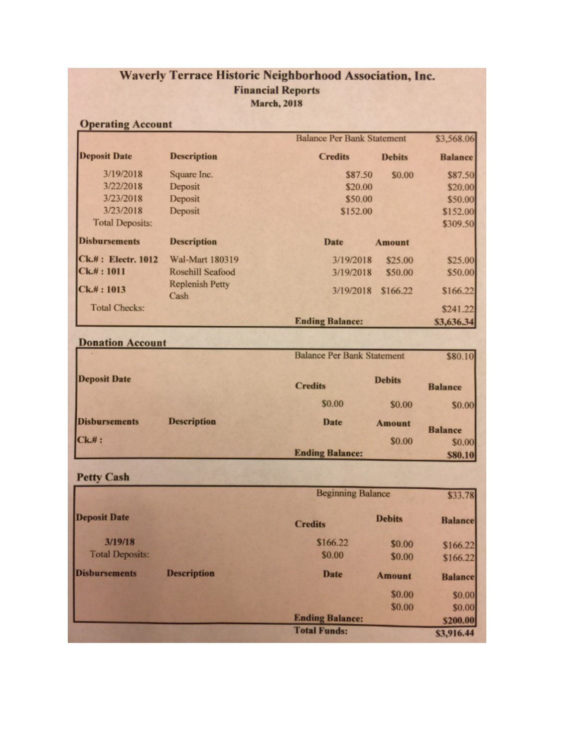## Waverly Terrace Historic Neighborhood Association, Inc. **Financial Reports March**, 2018

## **Operating Account**

|                        |                                | <b>Balance Per Bank Statement</b> |               | \$3,568.06     |  |
|------------------------|--------------------------------|-----------------------------------|---------------|----------------|--|
| <b>Deposit Date</b>    | <b>Description</b>             | <b>Credits</b>                    | <b>Debits</b> | <b>Balance</b> |  |
| 3/19/2018              | Square Inc.                    | \$87.50                           | \$0.00        | \$87.50        |  |
| 3/22/2018              | Deposit                        | \$20.00                           |               | \$20.00        |  |
| 3/23/2018              | Deposit                        | \$50.00                           |               | \$50.00        |  |
| 3/23/2018              | Deposit                        | \$152.00                          |               | \$152.00       |  |
| <b>Total Deposits:</b> |                                |                                   |               | \$309.50       |  |
| <b>Disbursements</b>   | <b>Description</b>             | Date                              | <b>Amount</b> |                |  |
| Ck.#: Electr. 1012     | Wal-Mart 180319                | 3/19/2018                         | \$25.00       | \$25.00        |  |
| $C_{k,#}: 1011$        | Rosehill Seafood               | 3/19/2018                         | \$50.00       | \$50.00        |  |
| CK. #: 1013            | <b>Replenish Petty</b><br>Cash | 3/19/2018                         | \$166.22      | \$166.22       |  |
| <b>Total Checks:</b>   |                                |                                   |               | \$241.22       |  |
|                        |                                | <b>Ending Balance:</b>            |               | \$3,636.34     |  |

|                      |                    | <b>Balance Per Bank Statement</b> |               | \$80.10           |  |
|----------------------|--------------------|-----------------------------------|---------------|-------------------|--|
| <b>Deposit Date</b>  |                    | <b>Credits</b>                    | <b>Debits</b> | <b>Balance</b>    |  |
|                      |                    | \$0.00                            | \$0.00        | \$0.00            |  |
| <b>Disbursements</b> | <b>Description</b> | <b>Date</b>                       | <b>Amount</b> | <b>Balance</b>    |  |
| CK. #:               |                    | <b>Ending Balance:</b>            | \$0.00        | \$0.00<br>\$80,10 |  |

**Petty Cash** 

**Donation Account** 

|                        |                    | <b>Beginning Balance</b> |               | \$33.78        |
|------------------------|--------------------|--------------------------|---------------|----------------|
| <b>Deposit Date</b>    |                    | <b>Credits</b>           | <b>Debits</b> | <b>Balance</b> |
| 3/19/18                |                    | \$166.22                 | \$0.00        | \$166.22       |
| <b>Total Deposits:</b> |                    | \$0.00                   | \$0.00        | \$166.22       |
| <b>Disbursements</b>   | <b>Description</b> | Date                     | <b>Amount</b> | <b>Balance</b> |
|                        |                    |                          | \$0.00        | \$0.00         |
|                        |                    |                          | \$0.00        | \$0.00         |
|                        |                    | <b>Ending Balance:</b>   |               | \$200.00       |
|                        |                    | <b>Total Funds:</b>      |               | \$3,916.44     |